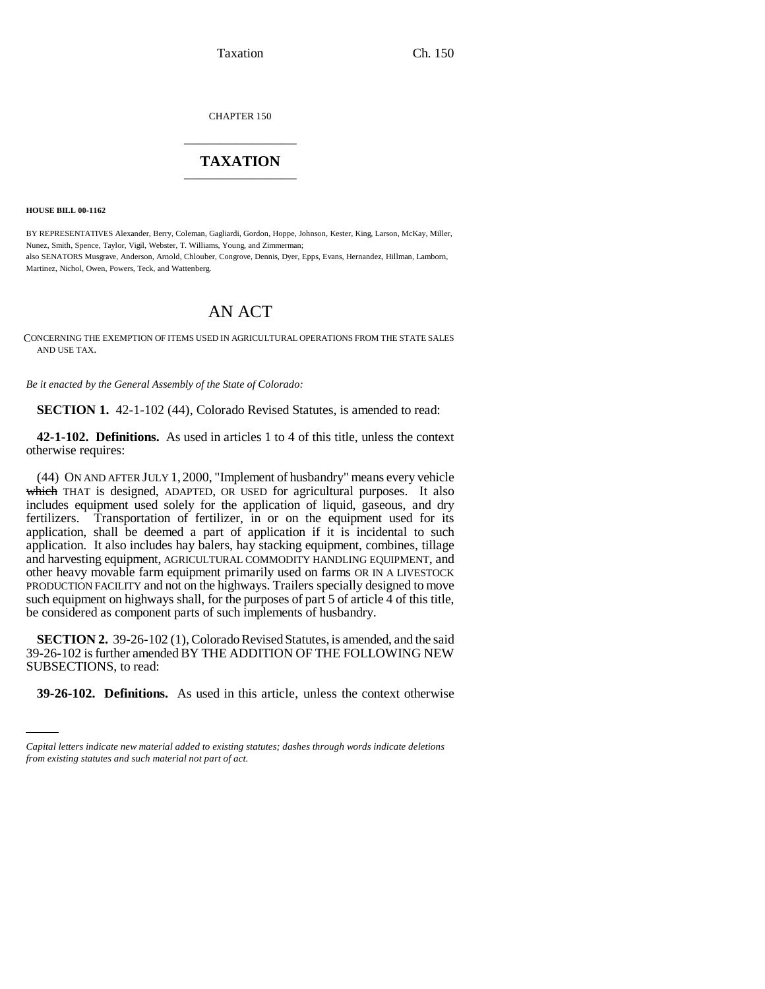Taxation Ch. 150

CHAPTER 150 \_\_\_\_\_\_\_\_\_\_\_\_\_\_\_

## **TAXATION** \_\_\_\_\_\_\_\_\_\_\_\_\_\_\_

**HOUSE BILL 00-1162** 

BY REPRESENTATIVES Alexander, Berry, Coleman, Gagliardi, Gordon, Hoppe, Johnson, Kester, King, Larson, McKay, Miller, Nunez, Smith, Spence, Taylor, Vigil, Webster, T. Williams, Young, and Zimmerman; also SENATORS Musgrave, Anderson, Arnold, Chlouber, Congrove, Dennis, Dyer, Epps, Evans, Hernandez, Hillman, Lamborn, Martinez, Nichol, Owen, Powers, Teck, and Wattenberg.

# AN ACT

CONCERNING THE EXEMPTION OF ITEMS USED IN AGRICULTURAL OPERATIONS FROM THE STATE SALES AND USE TAX.

*Be it enacted by the General Assembly of the State of Colorado:*

**SECTION 1.** 42-1-102 (44), Colorado Revised Statutes, is amended to read:

**42-1-102. Definitions.** As used in articles 1 to 4 of this title, unless the context otherwise requires:

(44) ON AND AFTER JULY 1, 2000, "Implement of husbandry" means every vehicle which THAT is designed, ADAPTED, OR USED for agricultural purposes. It also includes equipment used solely for the application of liquid, gaseous, and dry fertilizers. Transportation of fertilizer, in or on the equipment used for its application, shall be deemed a part of application if it is incidental to such application. It also includes hay balers, hay stacking equipment, combines, tillage and harvesting equipment, AGRICULTURAL COMMODITY HANDLING EQUIPMENT, and other heavy movable farm equipment primarily used on farms OR IN A LIVESTOCK PRODUCTION FACILITY and not on the highways. Trailers specially designed to move such equipment on highways shall, for the purposes of part 5 of article 4 of this title, be considered as component parts of such implements of husbandry.

SUBSECTIONS, to read: **SECTION 2.** 39-26-102 (1), Colorado Revised Statutes, is amended, and the said 39-26-102 is further amended BY THE ADDITION OF THE FOLLOWING NEW

**39-26-102. Definitions.** As used in this article, unless the context otherwise

*Capital letters indicate new material added to existing statutes; dashes through words indicate deletions from existing statutes and such material not part of act.*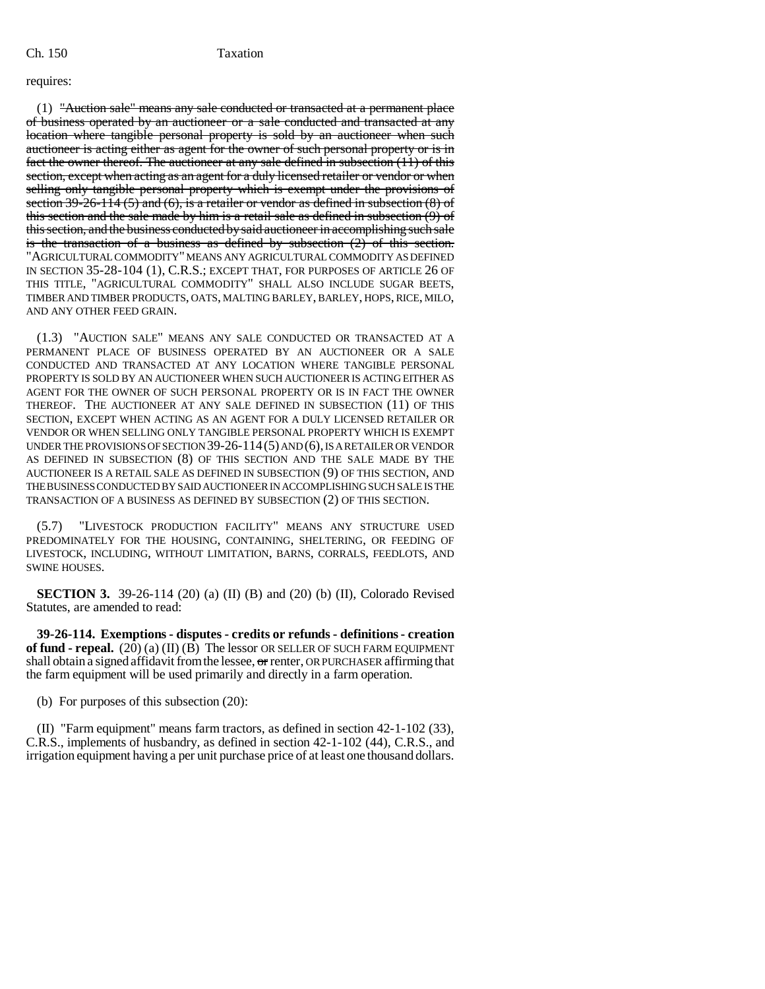### requires:

 $(1)$  "Auction sale" means any sale conducted or transacted at a permanent place of business operated by an auctioneer or a sale conducted and transacted at any location where tangible personal property is sold by an auctioneer when such auctioneer is acting either as agent for the owner of such personal property or is in fact the owner thereof. The auctioneer at any sale defined in subsection (11) of this section, except when acting as an agent for a duly licensed retailer or vendor or when selling only tangible personal property which is exempt under the provisions of section 39-26-114 (5) and (6), is a retailer or vendor as defined in subsection  $(8)$  of this section and the sale made by him is a retail sale as defined in subsection (9) of this section, and the business conducted by said auctioneer in accomplishing such sale is the transaction of a business as defined by subsection (2) of this section. "AGRICULTURAL COMMODITY" MEANS ANY AGRICULTURAL COMMODITY AS DEFINED IN SECTION 35-28-104 (1), C.R.S.; EXCEPT THAT, FOR PURPOSES OF ARTICLE 26 OF THIS TITLE, "AGRICULTURAL COMMODITY" SHALL ALSO INCLUDE SUGAR BEETS, TIMBER AND TIMBER PRODUCTS, OATS, MALTING BARLEY, BARLEY, HOPS, RICE, MILO, AND ANY OTHER FEED GRAIN.

(1.3) "AUCTION SALE" MEANS ANY SALE CONDUCTED OR TRANSACTED AT A PERMANENT PLACE OF BUSINESS OPERATED BY AN AUCTIONEER OR A SALE CONDUCTED AND TRANSACTED AT ANY LOCATION WHERE TANGIBLE PERSONAL PROPERTY IS SOLD BY AN AUCTIONEER WHEN SUCH AUCTIONEER IS ACTING EITHER AS AGENT FOR THE OWNER OF SUCH PERSONAL PROPERTY OR IS IN FACT THE OWNER THEREOF. THE AUCTIONEER AT ANY SALE DEFINED IN SUBSECTION (11) OF THIS SECTION, EXCEPT WHEN ACTING AS AN AGENT FOR A DULY LICENSED RETAILER OR VENDOR OR WHEN SELLING ONLY TANGIBLE PERSONAL PROPERTY WHICH IS EXEMPT UNDER THE PROVISIONS OF SECTION 39-26-114(5) AND (6), IS A RETAILER OR VENDOR AS DEFINED IN SUBSECTION (8) OF THIS SECTION AND THE SALE MADE BY THE AUCTIONEER IS A RETAIL SALE AS DEFINED IN SUBSECTION (9) OF THIS SECTION, AND THE BUSINESS CONDUCTED BY SAID AUCTIONEER IN ACCOMPLISHING SUCH SALE IS THE TRANSACTION OF A BUSINESS AS DEFINED BY SUBSECTION (2) OF THIS SECTION.

"LIVESTOCK PRODUCTION FACILITY" MEANS ANY STRUCTURE USED PREDOMINATELY FOR THE HOUSING, CONTAINING, SHELTERING, OR FEEDING OF LIVESTOCK, INCLUDING, WITHOUT LIMITATION, BARNS, CORRALS, FEEDLOTS, AND SWINE HOUSES.

**SECTION 3.** 39-26-114 (20) (a) (II) (B) and (20) (b) (II), Colorado Revised Statutes, are amended to read:

**39-26-114. Exemptions - disputes - credits or refunds - definitions - creation of fund - repeal.**  $(20)(a)(II)(B)$  The lessor OR SELLER OF SUCH FARM EQUIPMENT shall obtain a signed affidavit from the lessee, or renter, OR PURCHASER affirming that the farm equipment will be used primarily and directly in a farm operation.

(b) For purposes of this subsection (20):

(II) "Farm equipment" means farm tractors, as defined in section 42-1-102 (33), C.R.S., implements of husbandry, as defined in section 42-1-102 (44), C.R.S., and irrigation equipment having a per unit purchase price of at least one thousand dollars.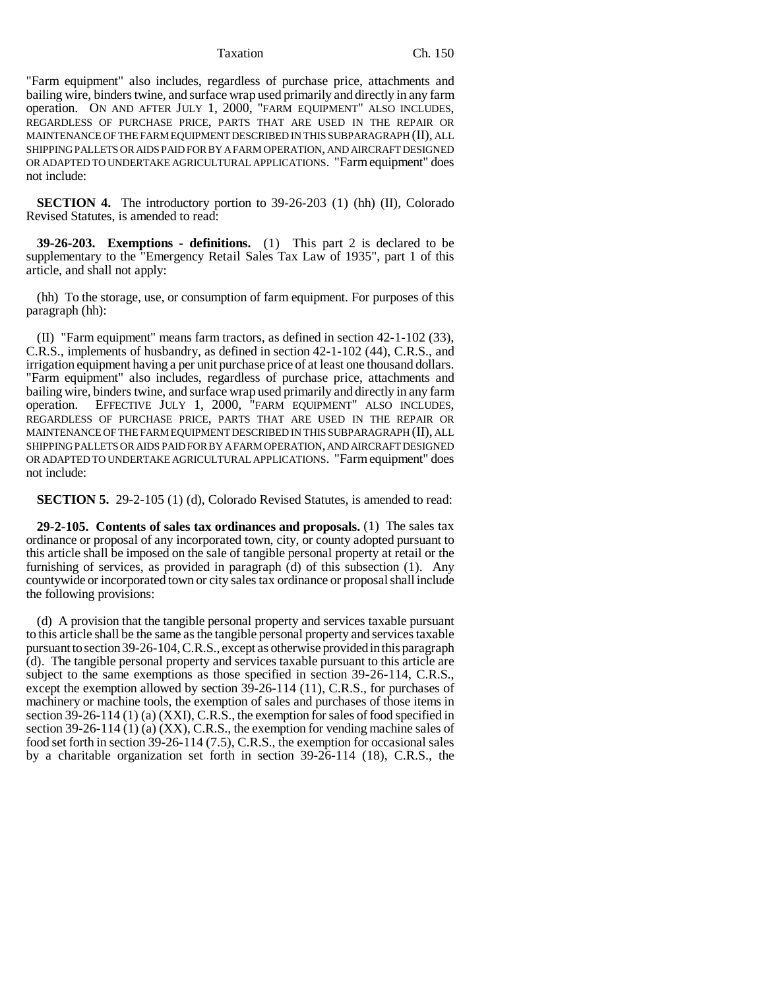Taxation Ch. 150

"Farm equipment" also includes, regardless of purchase price, attachments and bailing wire, binders twine, and surface wrap used primarily and directly in any farm operation. ON AND AFTER JULY 1, 2000, "FARM EQUIPMENT" ALSO INCLUDES, REGARDLESS OF PURCHASE PRICE, PARTS THAT ARE USED IN THE REPAIR OR MAINTENANCE OF THE FARM EQUIPMENT DESCRIBED IN THIS SUBPARAGRAPH (II), ALL SHIPPING PALLETS OR AIDS PAID FOR BY A FARM OPERATION, AND AIRCRAFT DESIGNED OR ADAPTED TO UNDERTAKE AGRICULTURAL APPLICATIONS. "Farm equipment" does not include:

**SECTION 4.** The introductory portion to 39-26-203 (1) (hh) (II), Colorado Revised Statutes, is amended to read:

**39-26-203. Exemptions - definitions.** (1) This part 2 is declared to be supplementary to the "Emergency Retail Sales Tax Law of 1935", part 1 of this article, and shall not apply:

(hh) To the storage, use, or consumption of farm equipment. For purposes of this paragraph (hh):

(II) "Farm equipment" means farm tractors, as defined in section 42-1-102 (33), C.R.S., implements of husbandry, as defined in section 42-1-102 (44), C.R.S., and irrigation equipment having a per unit purchase price of at least one thousand dollars. "Farm equipment" also includes, regardless of purchase price, attachments and bailing wire, binders twine, and surface wrap used primarily and directly in any farm operation. EFFECTIVE JULY 1, 2000, "FARM EQUIPMENT" ALSO INCLUDES, REGARDLESS OF PURCHASE PRICE, PARTS THAT ARE USED IN THE REPAIR OR MAINTENANCE OF THE FARM EQUIPMENT DESCRIBED IN THIS SUBPARAGRAPH (II), ALL SHIPPING PALLETS OR AIDS PAID FOR BY A FARM OPERATION, AND AIRCRAFT DESIGNED OR ADAPTED TO UNDERTAKE AGRICULTURAL APPLICATIONS. "Farm equipment" does not include:

**SECTION 5.** 29-2-105 (1) (d), Colorado Revised Statutes, is amended to read:

**29-2-105. Contents of sales tax ordinances and proposals.** (1) The sales tax ordinance or proposal of any incorporated town, city, or county adopted pursuant to this article shall be imposed on the sale of tangible personal property at retail or the furnishing of services, as provided in paragraph (d) of this subsection (1). Any countywide or incorporated town or city sales tax ordinance or proposal shall include the following provisions:

(d) A provision that the tangible personal property and services taxable pursuant to this article shall be the same as the tangible personal property and services taxable pursuant to section 39-26-104, C.R.S., except as otherwise provided in this paragraph (d). The tangible personal property and services taxable pursuant to this article are subject to the same exemptions as those specified in section 39-26-114, C.R.S., except the exemption allowed by section 39-26-114 (11), C.R.S., for purchases of machinery or machine tools, the exemption of sales and purchases of those items in section 39-26-114 (1) (a) (XXI), C.R.S., the exemption for sales of food specified in section 39-26-114 (1) (a) (XX), C.R.S., the exemption for vending machine sales of food set forth in section 39-26-114 (7.5), C.R.S., the exemption for occasional sales by a charitable organization set forth in section 39-26-114 (18), C.R.S., the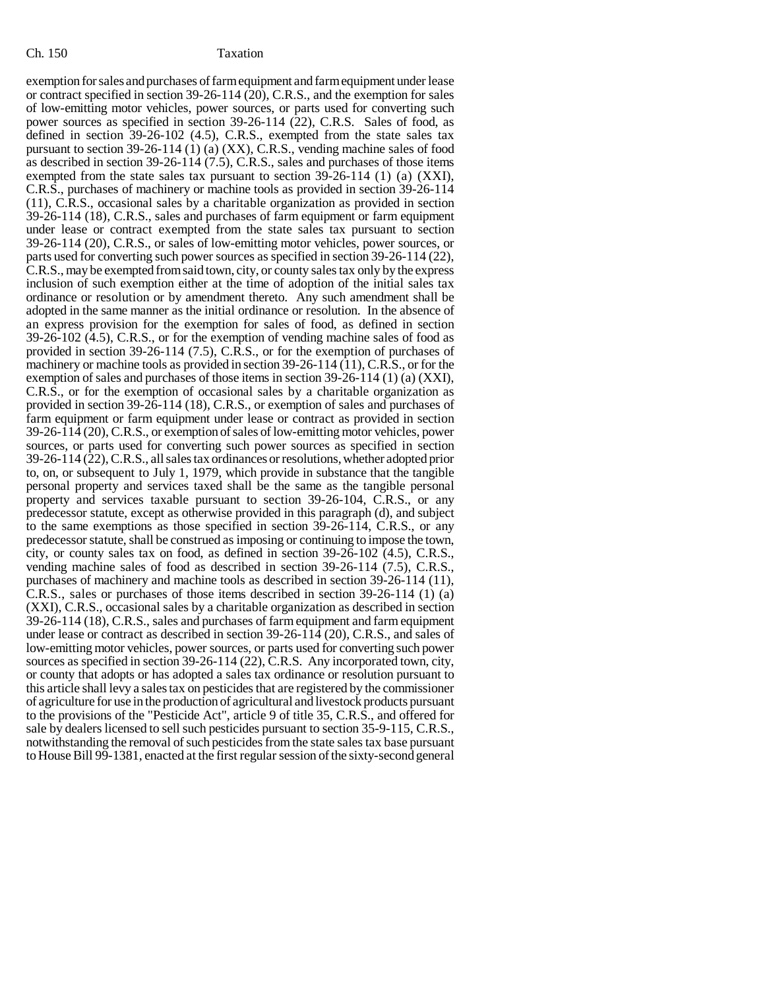exemption for sales and purchases of farm equipment and farm equipment under lease or contract specified in section 39-26-114 (20), C.R.S., and the exemption for sales of low-emitting motor vehicles, power sources, or parts used for converting such power sources as specified in section 39-26-114 (22), C.R.S. Sales of food, as defined in section 39-26-102 (4.5), C.R.S., exempted from the state sales tax pursuant to section 39-26-114 (1) (a) (XX), C.R.S., vending machine sales of food as described in section 39-26-114 (7.5), C.R.S., sales and purchases of those items exempted from the state sales tax pursuant to section 39-26-114 (1) (a) (XXI), C.R.S., purchases of machinery or machine tools as provided in section 39-26-114 (11), C.R.S., occasional sales by a charitable organization as provided in section 39-26-114 (18), C.R.S., sales and purchases of farm equipment or farm equipment under lease or contract exempted from the state sales tax pursuant to section 39-26-114 (20), C.R.S., or sales of low-emitting motor vehicles, power sources, or parts used for converting such power sources as specified in section 39-26-114 (22), C.R.S., may be exempted from said town, city, or county sales tax only by the express inclusion of such exemption either at the time of adoption of the initial sales tax ordinance or resolution or by amendment thereto. Any such amendment shall be adopted in the same manner as the initial ordinance or resolution. In the absence of an express provision for the exemption for sales of food, as defined in section 39-26-102 (4.5), C.R.S., or for the exemption of vending machine sales of food as provided in section 39-26-114 (7.5), C.R.S., or for the exemption of purchases of machinery or machine tools as provided in section 39-26-114 (11), C.R.S., or for the exemption of sales and purchases of those items in section 39-26-114 (1) (a) (XXI), C.R.S., or for the exemption of occasional sales by a charitable organization as provided in section 39-26-114 (18), C.R.S., or exemption of sales and purchases of farm equipment or farm equipment under lease or contract as provided in section 39-26-114 (20), C.R.S., or exemption of sales of low-emitting motor vehicles, power sources, or parts used for converting such power sources as specified in section 39-26-114 (22), C.R.S., all sales tax ordinances or resolutions, whether adopted prior to, on, or subsequent to July 1, 1979, which provide in substance that the tangible personal property and services taxed shall be the same as the tangible personal property and services taxable pursuant to section 39-26-104, C.R.S., or any predecessor statute, except as otherwise provided in this paragraph (d), and subject to the same exemptions as those specified in section 39-26-114, C.R.S., or any predecessor statute, shall be construed as imposing or continuing to impose the town, city, or county sales tax on food, as defined in section 39-26-102 (4.5), C.R.S., vending machine sales of food as described in section 39-26-114 (7.5), C.R.S., purchases of machinery and machine tools as described in section 39-26-114 (11), C.R.S., sales or purchases of those items described in section 39-26-114 (1) (a) (XXI), C.R.S., occasional sales by a charitable organization as described in section 39-26-114 (18), C.R.S., sales and purchases of farm equipment and farm equipment under lease or contract as described in section 39-26-114 (20), C.R.S., and sales of low-emitting motor vehicles, power sources, or parts used for converting such power sources as specified in section 39-26-114 (22), C.R.S. Any incorporated town, city, or county that adopts or has adopted a sales tax ordinance or resolution pursuant to this article shall levy a sales tax on pesticides that are registered by the commissioner of agriculture for use in the production of agricultural and livestock products pursuant to the provisions of the "Pesticide Act", article 9 of title 35, C.R.S., and offered for sale by dealers licensed to sell such pesticides pursuant to section 35-9-115, C.R.S., notwithstanding the removal of such pesticides from the state sales tax base pursuant to House Bill 99-1381, enacted at the first regular session of the sixty-second general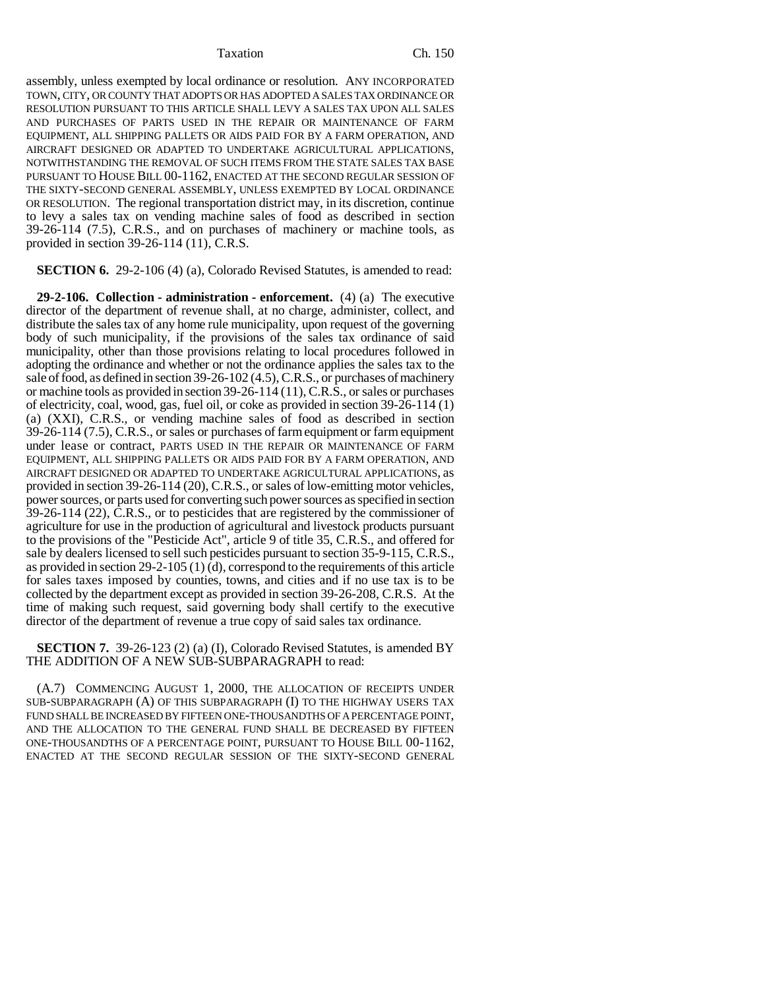### Taxation Ch. 150

assembly, unless exempted by local ordinance or resolution. ANY INCORPORATED TOWN, CITY, OR COUNTY THAT ADOPTS OR HAS ADOPTED A SALES TAX ORDINANCE OR RESOLUTION PURSUANT TO THIS ARTICLE SHALL LEVY A SALES TAX UPON ALL SALES AND PURCHASES OF PARTS USED IN THE REPAIR OR MAINTENANCE OF FARM EQUIPMENT, ALL SHIPPING PALLETS OR AIDS PAID FOR BY A FARM OPERATION, AND AIRCRAFT DESIGNED OR ADAPTED TO UNDERTAKE AGRICULTURAL APPLICATIONS, NOTWITHSTANDING THE REMOVAL OF SUCH ITEMS FROM THE STATE SALES TAX BASE PURSUANT TO HOUSE BILL 00-1162, ENACTED AT THE SECOND REGULAR SESSION OF THE SIXTY-SECOND GENERAL ASSEMBLY, UNLESS EXEMPTED BY LOCAL ORDINANCE OR RESOLUTION. The regional transportation district may, in its discretion, continue to levy a sales tax on vending machine sales of food as described in section 39-26-114 (7.5), C.R.S., and on purchases of machinery or machine tools, as provided in section 39-26-114 (11), C.R.S.

**SECTION 6.** 29-2-106 (4) (a), Colorado Revised Statutes, is amended to read:

**29-2-106. Collection - administration - enforcement.** (4) (a) The executive director of the department of revenue shall, at no charge, administer, collect, and distribute the sales tax of any home rule municipality, upon request of the governing body of such municipality, if the provisions of the sales tax ordinance of said municipality, other than those provisions relating to local procedures followed in adopting the ordinance and whether or not the ordinance applies the sales tax to the sale of food, as defined in section 39-26-102 (4.5), C.R.S., or purchases of machinery or machine tools as provided in section 39-26-114 (11), C.R.S., or sales or purchases of electricity, coal, wood, gas, fuel oil, or coke as provided in section 39-26-114 (1) (a) (XXI), C.R.S., or vending machine sales of food as described in section 39-26-114 (7.5), C.R.S., or sales or purchases of farm equipment or farm equipment under lease or contract, PARTS USED IN THE REPAIR OR MAINTENANCE OF FARM EQUIPMENT, ALL SHIPPING PALLETS OR AIDS PAID FOR BY A FARM OPERATION, AND AIRCRAFT DESIGNED OR ADAPTED TO UNDERTAKE AGRICULTURAL APPLICATIONS, as provided in section 39-26-114 (20), C.R.S., or sales of low-emitting motor vehicles, power sources, or parts used for converting such power sources as specified in section 39-26-114 (22), C.R.S., or to pesticides that are registered by the commissioner of agriculture for use in the production of agricultural and livestock products pursuant to the provisions of the "Pesticide Act", article 9 of title 35, C.R.S., and offered for sale by dealers licensed to sell such pesticides pursuant to section 35-9-115, C.R.S., as provided in section 29-2-105 (1) (d), correspond to the requirements of this article for sales taxes imposed by counties, towns, and cities and if no use tax is to be collected by the department except as provided in section 39-26-208, C.R.S. At the time of making such request, said governing body shall certify to the executive director of the department of revenue a true copy of said sales tax ordinance.

### **SECTION 7.** 39-26-123 (2) (a) (I), Colorado Revised Statutes, is amended BY THE ADDITION OF A NEW SUB-SUBPARAGRAPH to read:

(A.7) COMMENCING AUGUST 1, 2000, THE ALLOCATION OF RECEIPTS UNDER SUB-SUBPARAGRAPH (A) OF THIS SUBPARAGRAPH (I) TO THE HIGHWAY USERS TAX FUND SHALL BE INCREASED BY FIFTEEN ONE-THOUSANDTHS OF A PERCENTAGE POINT, AND THE ALLOCATION TO THE GENERAL FUND SHALL BE DECREASED BY FIFTEEN ONE-THOUSANDTHS OF A PERCENTAGE POINT, PURSUANT TO HOUSE BILL 00-1162, ENACTED AT THE SECOND REGULAR SESSION OF THE SIXTY-SECOND GENERAL